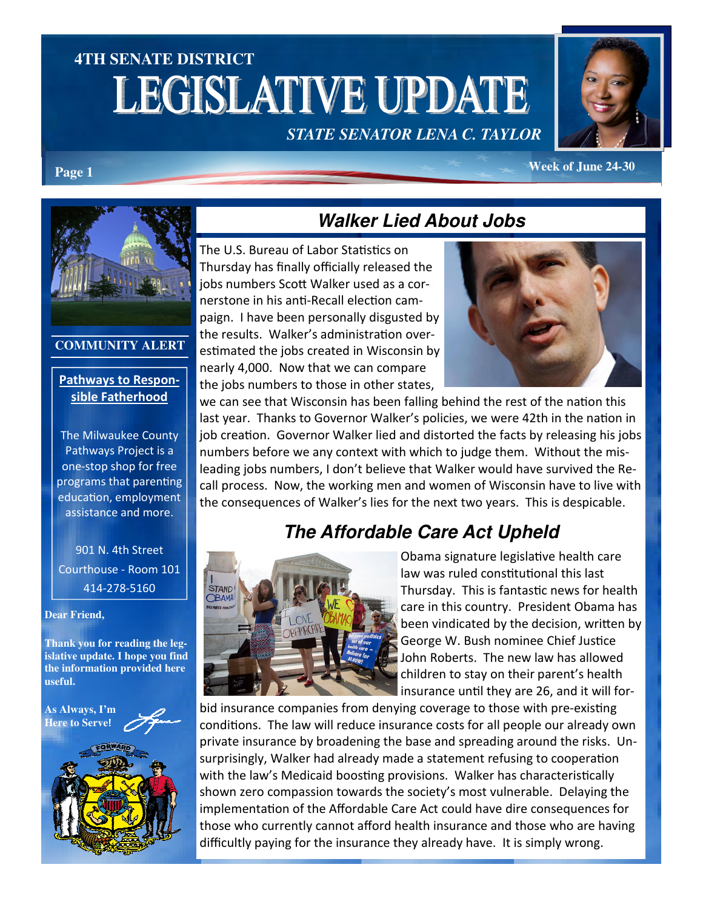# **4TH SENATE DISTRICT LEGISLATIVE UPDATE**

*STATE SENATOR LENA C. TAYLOR* 



**Page 1** *Week of June 24-30* 



#### **COMMUNITY ALERT**

#### Pathways to Responsible Fatherhood

The Milwaukee County Pathways Project is a one-stop shop for free programs that parenting education, employment assistance and more.

901 N. 4th Street Courthouse - Room 101 414-278-5160

**Dear Friend,**

**Thank you for reading the legislative update. I hope you find the information provided here useful.** 





## **Walker Lied About Jobs**

The U.S. Bureau of Labor Statistics on Thursday has finally officially released the jobs numbers Scott Walker used as a cornerstone in his anti-Recall election campaign. I have been personally disgusted by the results. Walker's administration overestimated the jobs created in Wisconsin by nearly 4,000. Now that we can compare the jobs numbers to those in other states,



we can see that Wisconsin has been falling behind the rest of the nation this last year. Thanks to Governor Walker's policies, we were 42th in the nation in job creation. Governor Walker lied and distorted the facts by releasing his jobs numbers before we any context with which to judge them. Without the misleading jobs numbers, I don't believe that Walker would have survived the Recall process. Now, the working men and women of Wisconsin have to live with the consequences of Walker's lies for the next two years. This is despicable.

# **The Affordable Care Act Upheld**



Obama signature legislative health care law was ruled constitutional this last Thursday. This is fantastic news for health care in this country. President Obama has been vindicated by the decision, written by George W. Bush nominee Chief Justice John Roberts. The new law has allowed children to stay on their parent's health insurance until they are 26, and it will for-

bid insurance companies from denying coverage to those with pre-existing conditions. The law will reduce insurance costs for all people our already own private insurance by broadening the base and spreading around the risks. Unsurprisingly, Walker had already made a statement refusing to cooperation with the law's Medicaid boosting provisions. Walker has characteristically shown zero compassion towards the society's most vulnerable. Delaying the implementation of the Affordable Care Act could have dire consequences for those who currently cannot afford health insurance and those who are having difficultly paying for the insurance they already have. It is simply wrong.